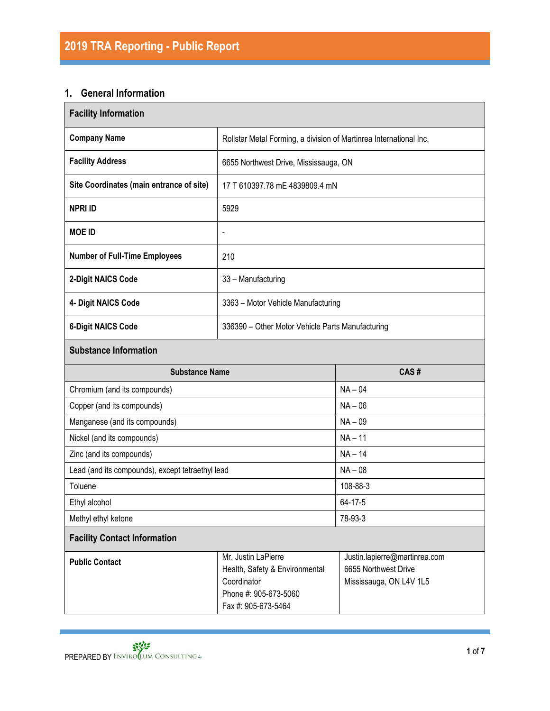# **1. General Information**

| <b>Facility Information</b>                      |                                                                                               |                                                                                  |  |  |
|--------------------------------------------------|-----------------------------------------------------------------------------------------------|----------------------------------------------------------------------------------|--|--|
| <b>Company Name</b>                              | Rollstar Metal Forming, a division of Martinrea International Inc.                            |                                                                                  |  |  |
| <b>Facility Address</b>                          | 6655 Northwest Drive, Mississauga, ON                                                         |                                                                                  |  |  |
| Site Coordinates (main entrance of site)         | 17 T 610397.78 mE 4839809.4 mN                                                                |                                                                                  |  |  |
| <b>NPRI ID</b>                                   | 5929                                                                                          |                                                                                  |  |  |
| <b>MOE ID</b>                                    | $\blacksquare$                                                                                |                                                                                  |  |  |
| <b>Number of Full-Time Employees</b>             | 210                                                                                           |                                                                                  |  |  |
| 2-Digit NAICS Code                               | 33 - Manufacturing                                                                            |                                                                                  |  |  |
| 4- Digit NAICS Code                              | 3363 - Motor Vehicle Manufacturing                                                            |                                                                                  |  |  |
| <b>6-Digit NAICS Code</b>                        | 336390 - Other Motor Vehicle Parts Manufacturing                                              |                                                                                  |  |  |
| <b>Substance Information</b>                     |                                                                                               |                                                                                  |  |  |
| <b>Substance Name</b>                            |                                                                                               | CAS#                                                                             |  |  |
| Chromium (and its compounds)                     |                                                                                               | $NA - 04$                                                                        |  |  |
| Copper (and its compounds)                       |                                                                                               | $NA - 06$                                                                        |  |  |
| Manganese (and its compounds)                    |                                                                                               | $NA - 09$                                                                        |  |  |
| Nickel (and its compounds)                       |                                                                                               | $NA - 11$                                                                        |  |  |
| Zinc (and its compounds)                         |                                                                                               | $NA - 14$                                                                        |  |  |
| Lead (and its compounds), except tetraethyl lead |                                                                                               | $NA - 08$                                                                        |  |  |
| Toluene                                          |                                                                                               | 108-88-3                                                                         |  |  |
| Ethyl alcohol                                    |                                                                                               | 64-17-5                                                                          |  |  |
| Methyl ethyl ketone                              |                                                                                               | 78-93-3                                                                          |  |  |
| <b>Facility Contact Information</b>              |                                                                                               |                                                                                  |  |  |
| <b>Public Contact</b>                            | Mr. Justin LaPierre<br>Health, Safety & Environmental<br>Coordinator<br>Phone #: 905-673-5060 | Justin.lapierre@martinrea.com<br>6655 Northwest Drive<br>Mississauga, ON L4V 1L5 |  |  |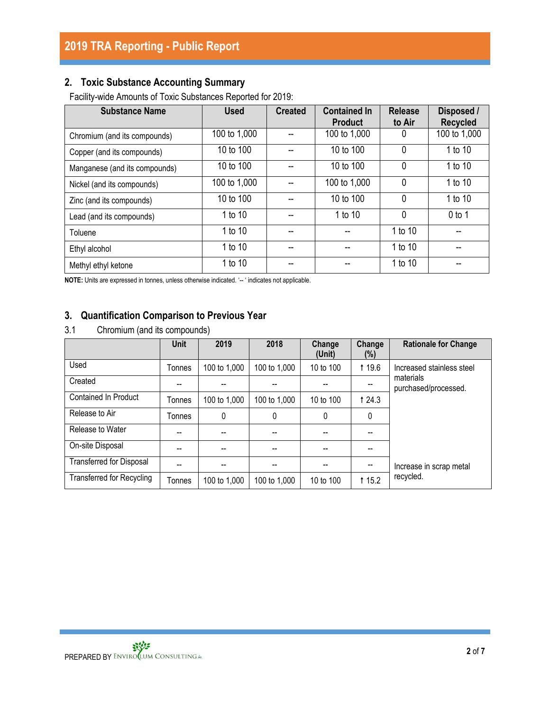# **2. Toxic Substance Accounting Summary**

Facility-wide Amounts of Toxic Substances Reported for 2019:

| <b>Substance Name</b>         | <b>Used</b>  | <b>Created</b> | <b>Contained In</b><br><b>Product</b> | <b>Release</b><br>to Air | Disposed /<br><b>Recycled</b> |
|-------------------------------|--------------|----------------|---------------------------------------|--------------------------|-------------------------------|
| Chromium (and its compounds)  | 100 to 1,000 |                | 100 to 1,000                          | 0                        | 100 to 1,000                  |
| Copper (and its compounds)    | 10 to 100    |                | 10 to 100                             | $\mathbf{0}$             | 1 to 10                       |
| Manganese (and its compounds) | 10 to 100    |                | 10 to 100                             | $\mathbf 0$              | 1 to 10                       |
| Nickel (and its compounds)    | 100 to 1,000 |                | 100 to 1,000                          | $\mathbf{0}$             | 1 to 10                       |
| Zinc (and its compounds)      | 10 to 100    |                | 10 to 100                             | $\mathbf{0}$             | 1 to 10                       |
| Lead (and its compounds)      | 1 to 10      |                | 1 to 10                               | $\mathbf{0}$             | $0$ to 1                      |
| Toluene                       | 1 to 10      |                |                                       | 1 to 10                  |                               |
| Ethyl alcohol                 | 1 to 10      |                |                                       | 1 to 10                  |                               |
| Methyl ethyl ketone           | 1 to 10      |                |                                       | 1 to 10                  |                               |

**NOTE:** Units are expressed in tonnes, unless otherwise indicated. '-- ' indicates not applicable.

## **3. Quantification Comparison to Previous Year**

3.1 Chromium (and its compounds)

|                                  | Unit   | 2019         | 2018         | Change<br>(Unit) | Change<br>$(\%)$ | <b>Rationale for Change</b>       |
|----------------------------------|--------|--------------|--------------|------------------|------------------|-----------------------------------|
| Used                             | Tonnes | 100 to 1,000 | 100 to 1,000 | 10 to 100        | <b>119.6</b>     | Increased stainless steel         |
| Created                          |        |              |              |                  |                  | materials<br>purchased/processed. |
| <b>Contained In Product</b>      | Tonnes | 100 to 1,000 | 100 to 1,000 | 10 to 100        | 1 24.3           |                                   |
| Release to Air                   | Tonnes | 0            | 0            | 0                | 0                |                                   |
| Release to Water                 |        |              |              |                  |                  |                                   |
| On-site Disposal                 |        | --           |              |                  |                  |                                   |
| <b>Transferred for Disposal</b>  |        |              |              |                  |                  | Increase in scrap metal           |
| <b>Transferred for Recycling</b> | Tonnes | 100 to 1,000 | 100 to 1,000 | 10 to 100        | <b>115.2</b>     | recycled.                         |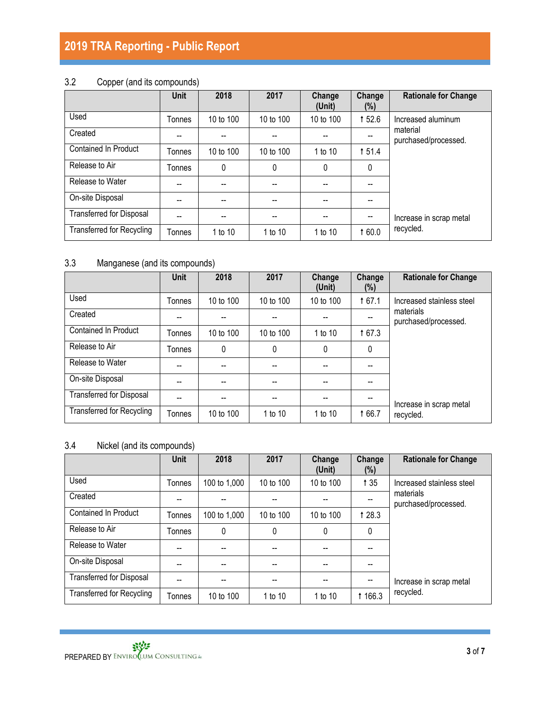# 3.2 Copper (and its compounds)

|                                  | <b>Unit</b> | 2018      | 2017      | Change<br>(Unit) | Change<br>$(\%)$ | <b>Rationale for Change</b>      |
|----------------------------------|-------------|-----------|-----------|------------------|------------------|----------------------------------|
| Used                             | Tonnes      | 10 to 100 | 10 to 100 | 10 to 100        | 152.6            | Increased aluminum               |
| Created                          | --          | $- -$     | --        | --               |                  | material<br>purchased/processed. |
| <b>Contained In Product</b>      | Tonnes      | 10 to 100 | 10 to 100 | 1 to 10          | 151.4            |                                  |
| Release to Air                   | Tonnes      | 0         | 0         | $\mathbf{0}$     | 0                |                                  |
| Release to Water                 | --          |           |           |                  |                  |                                  |
| On-site Disposal                 | --          | --        |           |                  |                  |                                  |
| <b>Transferred for Disposal</b>  | --          | --        | --        | --               | --               | Increase in scrap metal          |
| <b>Transferred for Recycling</b> | Tonnes      | 1 to 10   | 1 to 10   | 1 to 10          | 1 60.0           | recycled.                        |

# 3.3 Manganese (and its compounds)

|                                  | <b>Unit</b> | 2018      | 2017        | Change<br>(Unit) | Change<br>$(\%)$ | <b>Rationale for Change</b>       |
|----------------------------------|-------------|-----------|-------------|------------------|------------------|-----------------------------------|
| Used                             | Tonnes      | 10 to 100 | 10 to 100   | 10 to 100        | 167.1            | Increased stainless steel         |
| Created                          | --          |           |             |                  |                  | materials<br>purchased/processed. |
| <b>Contained In Product</b>      | Tonnes      | 10 to 100 | 10 to 100   | 1 to 10          | 167.3            |                                   |
| Release to Air                   | Tonnes      | 0         | $\mathbf 0$ | $\mathbf{0}$     | 0                |                                   |
| Release to Water                 | --          |           | --          | --               | --               |                                   |
| On-site Disposal                 | --          |           |             | --               |                  |                                   |
| <b>Transferred for Disposal</b>  |             |           | --          |                  |                  | Increase in scrap metal           |
| <b>Transferred for Recycling</b> | Tonnes      | 10 to 100 | 1 to 10     | 1 to 10          | 166.7            | recycled.                         |

## 3.4 Nickel (and its compounds)

|                                  | <b>Unit</b> | 2018         | 2017      | Change<br>(Unit) | Change<br>$(\%)$ | <b>Rationale for Change</b>       |
|----------------------------------|-------------|--------------|-----------|------------------|------------------|-----------------------------------|
| Used                             | Tonnes      | 100 to 1,000 | 10 to 100 | 10 to 100        | 135              | Increased stainless steel         |
| Created                          | --          | --           |           |                  |                  | materials<br>purchased/processed. |
| <b>Contained In Product</b>      | Tonnes      | 100 to 1,000 | 10 to 100 | 10 to 100        | 1 28.3           |                                   |
| Release to Air                   | Tonnes      | 0            | 0         | $\mathbf{0}$     | 0                |                                   |
| Release to Water                 | --          |              |           |                  |                  |                                   |
| On-site Disposal                 |             |              |           |                  |                  |                                   |
| <b>Transferred for Disposal</b>  |             |              |           |                  | $-$              | Increase in scrap metal           |
| <b>Transferred for Recycling</b> | Tonnes      | 10 to 100    | 1 to 10   | 1 to 10          | <b>166.3</b>     | recycled.                         |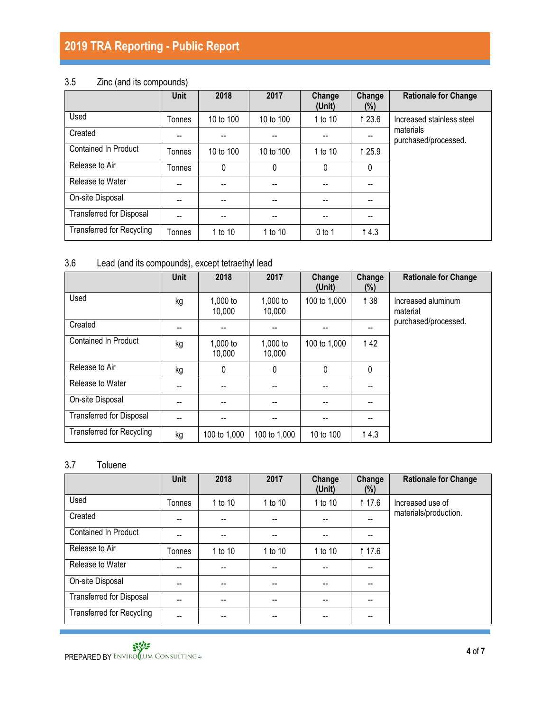# 3.5 Zinc (and its compounds)

|                                  | <b>Unit</b> | 2018      | 2017      | Change<br>(Unit) | Change<br>(%) | <b>Rationale for Change</b>       |
|----------------------------------|-------------|-----------|-----------|------------------|---------------|-----------------------------------|
| Used                             | Tonnes      | 10 to 100 | 10 to 100 | 1 to 10          | 1 2 3.6       | Increased stainless steel         |
| Created                          | --          |           |           |                  |               | materials<br>purchased/processed. |
| <b>Contained In Product</b>      | Tonnes      | 10 to 100 | 10 to 100 | 1 to 10          | 1 25.9        |                                   |
| Release to Air                   | Tonnes      | 0         | 0         | 0                | 0             |                                   |
| Release to Water                 | --          | --        |           | --               | --            |                                   |
| On-site Disposal                 | --          | --        | --        | --               |               |                                   |
| <b>Transferred for Disposal</b>  | --          | --        | --        | --               | --            |                                   |
| <b>Transferred for Recycling</b> | Tonnes      | 1 to 10   | 1 to 10   | $0$ to 1         | 14.3          |                                   |

# 3.6 Lead (and its compounds), except tetraethyl lead

|                                  | Unit | 2018               | 2017               | Change<br>(Unit) | Change<br>(%) | <b>Rationale for Change</b>    |
|----------------------------------|------|--------------------|--------------------|------------------|---------------|--------------------------------|
| Used                             | kg   | 1,000 to<br>10,000 | 1,000 to<br>10,000 | 100 to 1,000     | 1 38          | Increased aluminum<br>material |
| Created                          | --   |                    | --                 |                  | --            | purchased/processed.           |
| <b>Contained In Product</b>      | kg   | 1,000 to<br>10,000 | 1,000 to<br>10,000 | 100 to 1,000     | 142           |                                |
| Release to Air                   | kg   | $\mathbf{0}$       | $\mathbf{0}$       | 0                | 0             |                                |
| Release to Water                 |      |                    |                    |                  |               |                                |
| On-site Disposal                 |      |                    |                    |                  |               |                                |
| <b>Transferred for Disposal</b>  |      |                    |                    |                  | --            |                                |
| <b>Transferred for Recycling</b> | kg   | 100 to 1,000       | 100 to 1,000       | 10 to 100        | 14.3          |                                |

### 3.7 Toluene

|                                  | Unit   | 2018    | 2017    | Change<br>(Unit) | Change<br>$(\%)$ | <b>Rationale for Change</b> |
|----------------------------------|--------|---------|---------|------------------|------------------|-----------------------------|
| Used                             | Tonnes | 1 to 10 | 1 to 10 | 1 to 10          | <b>117.6</b>     | Increased use of            |
| Created                          | --     | --      | $-$     | --               | $- -$            | materials/production.       |
| <b>Contained In Product</b>      | --     | --      |         |                  |                  |                             |
| Release to Air                   | Tonnes | 1 to 10 | 1 to 10 | 1 to 10          | <b>117.6</b>     |                             |
| Release to Water                 | --     |         |         |                  |                  |                             |
| On-site Disposal                 |        | --      | --      |                  |                  |                             |
| <b>Transferred for Disposal</b>  | --     | --      | --      | --               |                  |                             |
| <b>Transferred for Recycling</b> | --     | --      | --      |                  |                  |                             |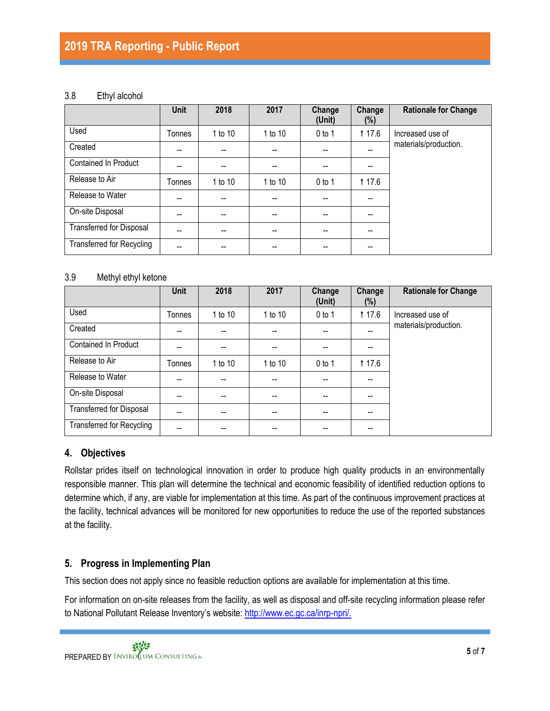#### 3.8 Ethyl alcohol

|                                  | <b>Unit</b> | 2018    | 2017    | Change<br>(Unit) | Change<br>$(\%)$ | <b>Rationale for Change</b> |
|----------------------------------|-------------|---------|---------|------------------|------------------|-----------------------------|
| Used                             | Tonnes      | 1 to 10 | 1 to 10 | $0$ to 1         | <b>17.6</b>      | Increased use of            |
| Created                          | --          |         |         |                  |                  | materials/production.       |
| Contained In Product             | --          |         |         |                  |                  |                             |
| Release to Air                   | Tonnes      | 1 to 10 | 1 to 10 | $0$ to 1         | <b>117.6</b>     |                             |
| Release to Water                 | --          | --      |         |                  |                  |                             |
| On-site Disposal                 | --          | --      | --      | --               |                  |                             |
| <b>Transferred for Disposal</b>  | --          | --      | --      | --               |                  |                             |
| <b>Transferred for Recycling</b> | $- -$       | --      | --      | --               | --               |                             |

#### 3.9 Methyl ethyl ketone

|                                  | Unit   | 2018    | 2017                                  | Change<br>(Unit)  | Change<br>(%) | <b>Rationale for Change</b> |
|----------------------------------|--------|---------|---------------------------------------|-------------------|---------------|-----------------------------|
| Used                             | Tonnes | 1 to 10 | 1 to 10                               | $0$ to 1          | <b>117.6</b>  | Increased use of            |
| Created                          | --     |         |                                       |                   | --            | materials/production.       |
| Contained In Product             | --     | --      | $-$                                   | $\hspace{0.05cm}$ |               |                             |
| Release to Air                   | Tonnes | 1 to 10 | 1 to 10                               | $0$ to 1          | <b>117.6</b>  |                             |
| Release to Water                 | --     | --      |                                       |                   |               |                             |
| On-site Disposal                 | --     | --      | $-$                                   | --                |               |                             |
| <b>Transferred for Disposal</b>  | --     | --      | $\hspace{0.05cm}$ – $\hspace{0.05cm}$ |                   | --            |                             |
| <b>Transferred for Recycling</b> | --     |         |                                       |                   |               |                             |

### **4. Objectives**

Rollstar prides itself on technological innovation in order to produce high quality products in an environmentally responsible manner. This plan will determine the technical and economic feasibility of identified reduction options to determine which, if any, are viable for implementation at this time. As part of the continuous improvement practices at the facility, technical advances will be monitored for new opportunities to reduce the use of the reported substances at the facility.

### **5. Progress in Implementing Plan**

This section does not apply since no feasible reduction options are available for implementation at this time.

For information on on-site releases from the facility, as well as disposal and off-site recycling information please refer to National Pollutant Release Inventory's website: [http://www.ec.gc.ca/inrp-npri/.](http://www.ec.gc.ca/inrp-npri/)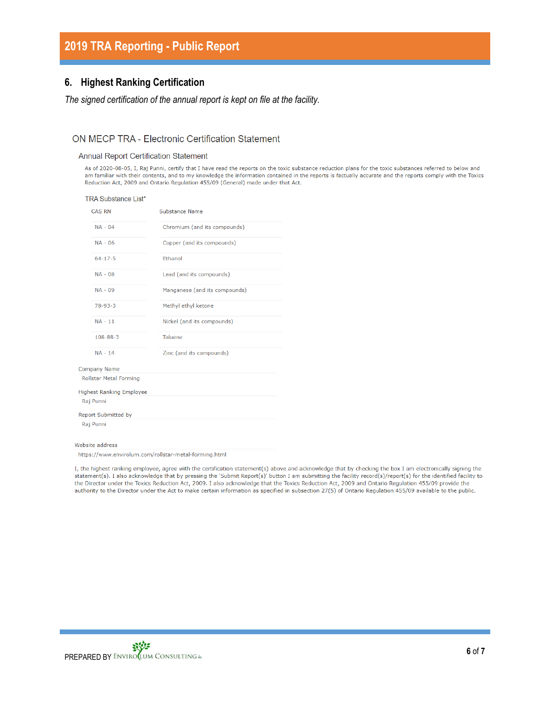### **6. Highest Ranking Certification**

#### *The signed certification of the annual report is kept on file at the facility.*

#### ON MECP TRA - Electronic Certification Statement

#### **Annual Report Certification Statement**

As of 2020-08-05, I, Raj Punni, certify that I have read the reports on the toxic substance reduction plans for the toxic substances referred to below and am familiar with their contents, and to my knowledge the information contained in the reports is factually accurate and the reports comply with the Toxics Reduction Act, 2009 and Ontario Regulation 455/09 (General) made under that Act.

| TRA Substance List*<br><b>CAS RN</b> | Substance Name                |
|--------------------------------------|-------------------------------|
| $NA - 04$                            | Chromium (and its compounds)  |
| $NA - 06$                            | Copper (and its compounds)    |
| $64 - 17 - 5$                        | Ethanol                       |
| $NA - 08$                            | Lead (and its compounds)      |
| $NA - 09$                            | Manganese (and its compounds) |
| $78 - 93 - 3$                        | Methyl ethyl ketone           |
| $NA - 11$                            | Nickel (and its compounds)    |
| $108 - 88 - 3$                       | <b>Toluene</b>                |
| $NA - 14$                            | Zinc (and its compounds)      |
| <b>Company Name</b>                  |                               |
| <b>Rollstar Metal Forming</b>        |                               |
| <b>Highest Ranking Employee</b>      |                               |
| Raj Punni                            |                               |
| <b>Report Submitted by</b>           |                               |
| Raj Punni                            |                               |
| Website address                      |                               |

https://www.envirolum.com/rollstar-metal-forming.html

I, the highest ranking employee, agree with the certification statement(s) above and acknowledge that by checking the box I am electronically signing the statement(s). I also acknowledge that by pressing the 'Submit Report(s)' button I am submitting the facility record(s)/report(s) for the identified facility to the Director under the Toxics Reduction Act, 2009. I also acknowledge that the Toxics Reduction Act, 2009 and Ontario Regulation 455/09 provide the authority to the Director under the Act to make certain information as specified in subsection 27(5) of Ontario Regulation 455/09 available to the public.